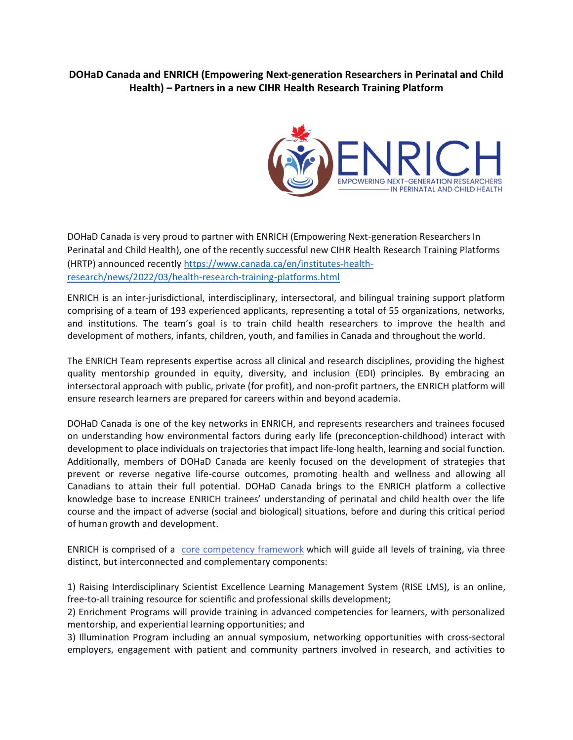## **DOHaD Canada and ENRICH (Empowering Next-generation Researchers in Perinatal and Child Health) – Partners in a new CIHR Health Research Training Platform**



DOHaD Canada is very proud to partner with ENRICH (Empowering Next-generation Researchers In Perinatal and Child Health), one of the recently successful new CIHR Health Research Training Platforms (HRTP) announced recently [https://www.canada.ca/en/institutes-health](https://urldefense.com/v3/__https:/www.canada.ca/en/institutes-health-research/news/2022/03/health-research-training-platforms.html__;!!D0zGoin7BXfl!9536gzE0y08itrM4kJKqLcfPmtRxZ-yISjNXs9AfY4PHzq061NxKZ9XZrcxqoY2rqjLZeccsvhJWAGFmLNe8vOuaIqP879MNsX2c1p1g$)[research/news/2022/03/health-research-training-platforms.html](https://urldefense.com/v3/__https:/www.canada.ca/en/institutes-health-research/news/2022/03/health-research-training-platforms.html__;!!D0zGoin7BXfl!9536gzE0y08itrM4kJKqLcfPmtRxZ-yISjNXs9AfY4PHzq061NxKZ9XZrcxqoY2rqjLZeccsvhJWAGFmLNe8vOuaIqP879MNsX2c1p1g$)

ENRICH is an inter-jurisdictional, interdisciplinary, intersectoral, and bilingual training support platform comprising of a team of 193 experienced applicants, representing a total of 55 organizations, networks, and institutions. The team's goal is to train child health researchers to improve the health and development of mothers, infants, children, youth, and families in Canada and throughout the world.

The ENRICH Team represents expertise across all clinical and research disciplines, providing the highest quality mentorship grounded in equity, diversity, and inclusion (EDI) principles. By embracing an intersectoral approach with public, private (for profit), and non-profit partners, the ENRICH platform will ensure research learners are prepared for careers within and beyond academia.

DOHaD Canada is one of the key networks in ENRICH, and represents researchers and trainees focused on understanding how environmental factors during early life (preconception-childhood) interact with development to place individuals on trajectories that impact life-long health, learning and social function. Additionally, members of DOHaD Canada are keenly focused on the development of strategies that prevent or reverse negative life-course outcomes, promoting health and wellness and allowing all Canadians to attain their full potential. DOHaD Canada brings to the ENRICH platform a collective knowledge base to increase ENRICH trainees' understanding of perinatal and child health over the life course and the impact of adverse (social and biological) situations, before and during this critical period of human growth and development.

ENRICH is comprised of a [core competency framework](https://cchcsp.ca/wp-content/uploads/2022/02/2-Figure-2-Pg3-Competency-Framework.pdf) which will guide all levels of training, via three distinct, but interconnected and complementary components:

1) Raising Interdisciplinary Scientist Excellence Learning Management System (RISE LMS), is an online, free-to-all training resource for scientific and professional skills development;

2) Enrichment Programs will provide training in advanced competencies for learners, with personalized mentorship, and experiential learning opportunities; and

3) Illumination Program including an annual symposium, networking opportunities with cross-sectoral employers, engagement with patient and community partners involved in research, and activities to